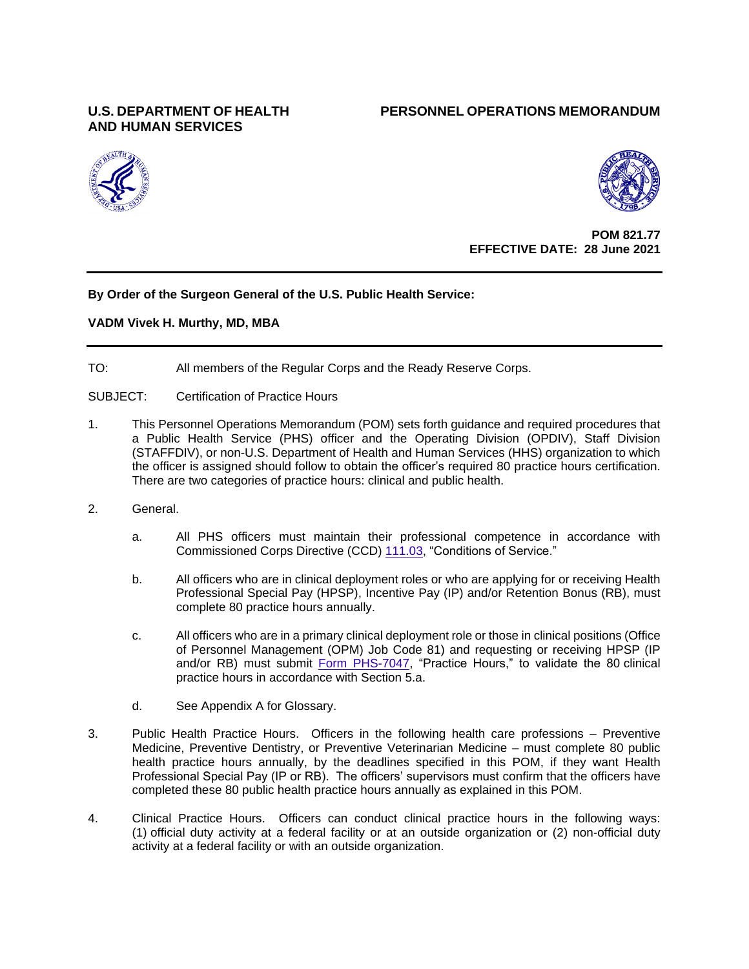# **AND HUMAN SERVICES**

## **U.S. DEPARTMENT OF HEALTH PERSONNEL OPERATIONS MEMORANDUM**





**POM 821.77 EFFECTIVE DATE: 28 June 2021**

## **By Order of the Surgeon General of the U.S. Public Health Service:**

## **VADM Vivek H. Murthy, MD, MBA**

TO: All members of the Regular Corps and the Ready Reserve Corps.

SUBJECT: Certification of Practice Hours

- 1. This Personnel Operations Memorandum (POM) sets forth guidance and required procedures that a Public Health Service (PHS) officer and the Operating Division (OPDIV), Staff Division (STAFFDIV), or non-U.S. Department of Health and Human Services (HHS) organization to which the officer is assigned should follow to obtain the officer's required 80 practice hours certification. There are two categories of practice hours: clinical and public health.
- 2. General.
	- a. All PHS officers must maintain their professional competence in accordance with Commissioned Corps Directive (CCD) [111.03,](https://dcp.psc.gov/ccmis/ccis/documents/CCD111_03.pdf) "Conditions of Service."
	- b. All officers who are in clinical deployment roles or who are applying for or receiving Health Professional Special Pay (HPSP), Incentive Pay (IP) and/or Retention Bonus (RB), must complete 80 practice hours annually.
	- c. All officers who are in a primary clinical deployment role or those in clinical positions (Office of Personnel Management (OPM) Job Code 81) and requesting or receiving HPSP (IP and/or RB) must submit [Form PHS-7047,](https://dcp.psc.gov/ccmis/PDF_Docs/PHS-7047.pdf) "Practice Hours," to validate the 80 clinical practice hours in accordance with Section 5.a.
	- d. See Appendix A for Glossary.
- 3. Public Health Practice Hours. Officers in the following health care professions Preventive Medicine, Preventive Dentistry, or Preventive Veterinarian Medicine – must complete 80 public health practice hours annually, by the deadlines specified in this POM, if they want Health Professional Special Pay (IP or RB). The officers' supervisors must confirm that the officers have completed these 80 public health practice hours annually as explained in this POM.
- 4. Clinical Practice Hours. Officers can conduct clinical practice hours in the following ways: (1) official duty activity at a federal facility or at an outside organization or (2) non-official duty activity at a federal facility or with an outside organization.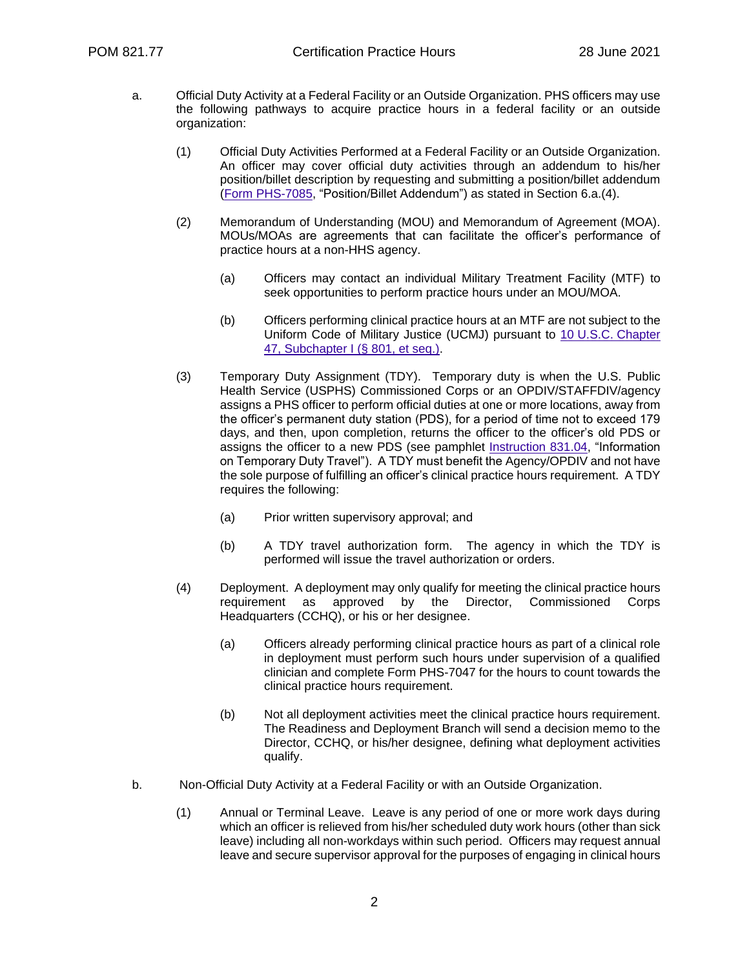- a. Official Duty Activity at a Federal Facility or an Outside Organization. PHS officers may use the following pathways to acquire practice hours in a federal facility or an outside organization:
	- (1) Official Duty Activities Performed at a Federal Facility or an Outside Organization. An officer may cover official duty activities through an addendum to his/her position/billet description by requesting and submitting a position/billet addendum [\(Form PHS-7085,](https://dcp.psc.gov/ccmis/PDF_Docs/PHS-7085.pdf) "Position/Billet Addendum") as stated in Section 6.a.(4).
	- (2) Memorandum of Understanding (MOU) and Memorandum of Agreement (MOA). MOUs/MOAs are agreements that can facilitate the officer's performance of practice hours at a non-HHS agency.
		- (a) Officers may contact an individual Military Treatment Facility (MTF) to seek opportunities to perform practice hours under an MOU/MOA.
		- (b) Officers performing clinical practice hours at an MTF are not subject to the Uniform Code of Military Justice (UCMJ) pursuant to 10 U.S.C. Chapter [47, Subchapter I \(§](https://uscode.house.gov/view.xhtml?req=(title:10%20section:801%20edition:prelim)%20OR%20(granuleid:USC-prelim-title10-section801)&f=treesort&edition=prelim&num=0&jumpTo=true) 801, et seq.).
	- (3) Temporary Duty Assignment (TDY). Temporary duty is when the U.S. Public Health Service (USPHS) Commissioned Corps or an OPDIV/STAFFDIV/agency assigns a PHS officer to perform official duties at one or more locations, away from the officer's permanent duty station (PDS), for a period of time not to exceed 179 days, and then, upon completion, returns the officer to the officer's old PDS or assigns the officer to a new PDS (see pamphlet [Instruction 831.04,](https://dcp.psc.gov/ccmis/ccis/documents/PAM51.pdf) "Information on Temporary Duty Travel"). A TDY must benefit the Agency/OPDIV and not have the sole purpose of fulfilling an officer's clinical practice hours requirement. A TDY requires the following:
		- (a) Prior written supervisory approval; and
		- (b) A TDY travel authorization form. The agency in which the TDY is performed will issue the travel authorization or orders.
	- (4) Deployment. A deployment may only qualify for meeting the clinical practice hours requirement as approved by the Director, Commissioned Corps Headquarters (CCHQ), or his or her designee.
		- (a) Officers already performing clinical practice hours as part of a clinical role in deployment must perform such hours under supervision of a qualified clinician and complete Form PHS-7047 for the hours to count towards the clinical practice hours requirement.
		- (b) Not all deployment activities meet the clinical practice hours requirement. The Readiness and Deployment Branch will send a decision memo to the Director, CCHQ, or his/her designee, defining what deployment activities qualify.
- b. Non-Official Duty Activity at a Federal Facility or with an Outside Organization.
	- (1) Annual or Terminal Leave. Leave is any period of one or more work days during which an officer is relieved from his/her scheduled duty work hours (other than sick leave) including all non-workdays within such period. Officers may request annual leave and secure supervisor approval for the purposes of engaging in clinical hours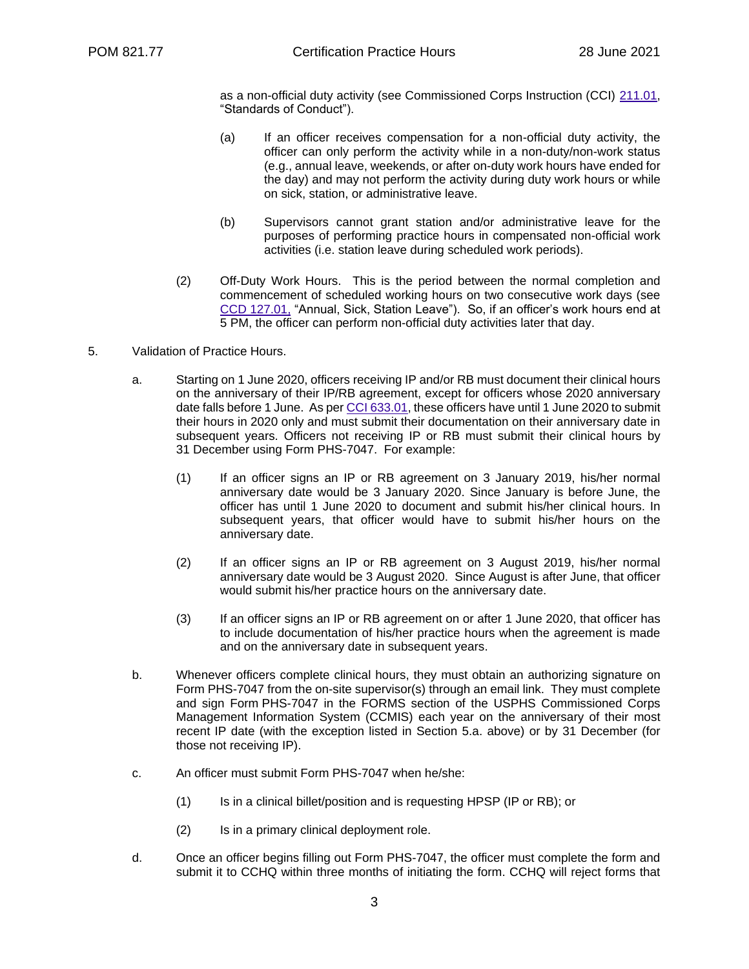as a non-official duty activity (see Commissioned Corps Instruction (CCI) [211.01,](https://dcp.psc.gov/ccmis/ccis/documents/CCPM26_1_1.pdf) "Standards of Conduct").

- (a) If an officer receives compensation for a non-official duty activity, the officer can only perform the activity while in a non-duty/non-work status (e.g., annual leave, weekends, or after on-duty work hours have ended for the day) and may not perform the activity during duty work hours or while on sick, station, or administrative leave.
- (b) Supervisors cannot grant station and/or administrative leave for the purposes of performing practice hours in compensated non-official work activities (i.e. station leave during scheduled work periods).
- (2) Off-Duty Work Hours. This is the period between the normal completion and commencement of scheduled working hours on two consecutive work days (see CCD [127.01,](https://dcp.psc.gov/ccmis/ccis/documents/CCD127_01.pdf) "Annual, Sick, Station Leave"). So, if an officer's work hours end at 5 PM, the officer can perform non-official duty activities later that day.
- 5. Validation of Practice Hours.
	- a. Starting on 1 June 2020, officers receiving IP and/or RB must document their clinical hours on the anniversary of their IP/RB agreement, except for officers whose 2020 anniversary date falls before 1 June. As pe[r CCI 633.01,](https://dcp.psc.gov/ccmis/ccis/documents/CC363.01.pdf) these officers have until 1 June 2020 to submit their hours in 2020 only and must submit their documentation on their anniversary date in subsequent years. Officers not receiving IP or RB must submit their clinical hours by 31 December using Form PHS-7047. For example:
		- (1) If an officer signs an IP or RB agreement on 3 January 2019, his/her normal anniversary date would be 3 January 2020. Since January is before June, the officer has until 1 June 2020 to document and submit his/her clinical hours. In subsequent years, that officer would have to submit his/her hours on the anniversary date.
		- (2) If an officer signs an IP or RB agreement on 3 August 2019, his/her normal anniversary date would be 3 August 2020. Since August is after June, that officer would submit his/her practice hours on the anniversary date.
		- (3) If an officer signs an IP or RB agreement on or after 1 June 2020, that officer has to include documentation of his/her practice hours when the agreement is made and on the anniversary date in subsequent years.
	- b. Whenever officers complete clinical hours, they must obtain an authorizing signature on Form PHS-7047 from the on-site supervisor(s) through an email link. They must complete and sign Form PHS-7047 in the FORMS section of the USPHS Commissioned Corps Management Information System (CCMIS) each year on the anniversary of their most recent IP date (with the exception listed in Section 5.a. above) or by 31 December (for those not receiving IP).
	- c. An officer must submit Form PHS-7047 when he/she:
		- (1) Is in a clinical billet/position and is requesting HPSP (IP or RB); or
		- (2) Is in a primary clinical deployment role.
	- d. Once an officer begins filling out Form PHS-7047, the officer must complete the form and submit it to CCHQ within three months of initiating the form. CCHQ will reject forms that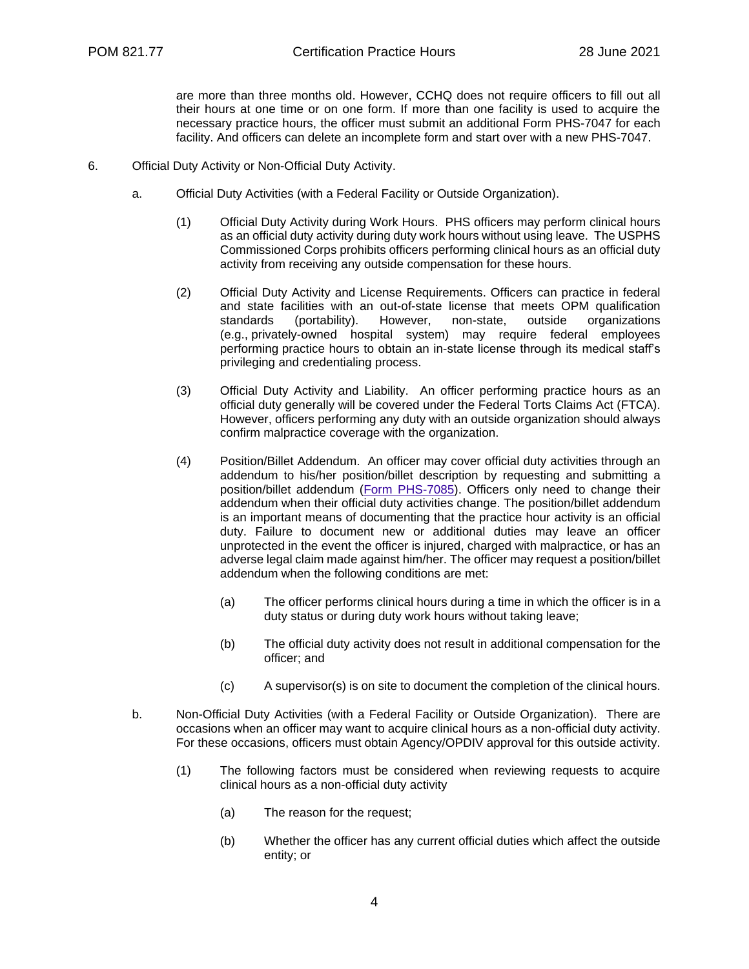are more than three months old. However, CCHQ does not require officers to fill out all their hours at one time or on one form. If more than one facility is used to acquire the necessary practice hours, the officer must submit an additional Form PHS-7047 for each facility. And officers can delete an incomplete form and start over with a new PHS-7047.

- 6. Official Duty Activity or Non-Official Duty Activity.
	- a. Official Duty Activities (with a Federal Facility or Outside Organization).
		- (1) Official Duty Activity during Work Hours. PHS officers may perform clinical hours as an official duty activity during duty work hours without using leave. The USPHS Commissioned Corps prohibits officers performing clinical hours as an official duty activity from receiving any outside compensation for these hours.
		- (2) Official Duty Activity and License Requirements. Officers can practice in federal and state facilities with an out-of-state license that meets OPM qualification standards (portability). However, non-state, outside organizations (e.g., privately-owned hospital system) may require federal employees performing practice hours to obtain an in-state license through its medical staff's privileging and credentialing process.
		- (3) Official Duty Activity and Liability. An officer performing practice hours as an official duty generally will be covered under the Federal Torts Claims Act (FTCA). However, officers performing any duty with an outside organization should always confirm malpractice coverage with the organization.
		- (4) Position/Billet Addendum. An officer may cover official duty activities through an addendum to his/her position/billet description by requesting and submitting a position/billet addendum (Form [PHS-7085\)](https://dcp.psc.gov/ccmis/PDF_Docs/PHS-7085.pdf). Officers only need to change their addendum when their official duty activities change. The position/billet addendum is an important means of documenting that the practice hour activity is an official duty. Failure to document new or additional duties may leave an officer unprotected in the event the officer is injured, charged with malpractice, or has an adverse legal claim made against him/her. The officer may request a position/billet addendum when the following conditions are met:
			- (a) The officer performs clinical hours during a time in which the officer is in a duty status or during duty work hours without taking leave;
			- (b) The official duty activity does not result in additional compensation for the officer; and
			- (c) A supervisor(s) is on site to document the completion of the clinical hours.
	- b. Non-Official Duty Activities (with a Federal Facility or Outside Organization). There are occasions when an officer may want to acquire clinical hours as a non-official duty activity. For these occasions, officers must obtain Agency/OPDIV approval for this outside activity.
		- (1) The following factors must be considered when reviewing requests to acquire clinical hours as a non-official duty activity
			- (a) The reason for the request;
			- (b) Whether the officer has any current official duties which affect the outside entity; or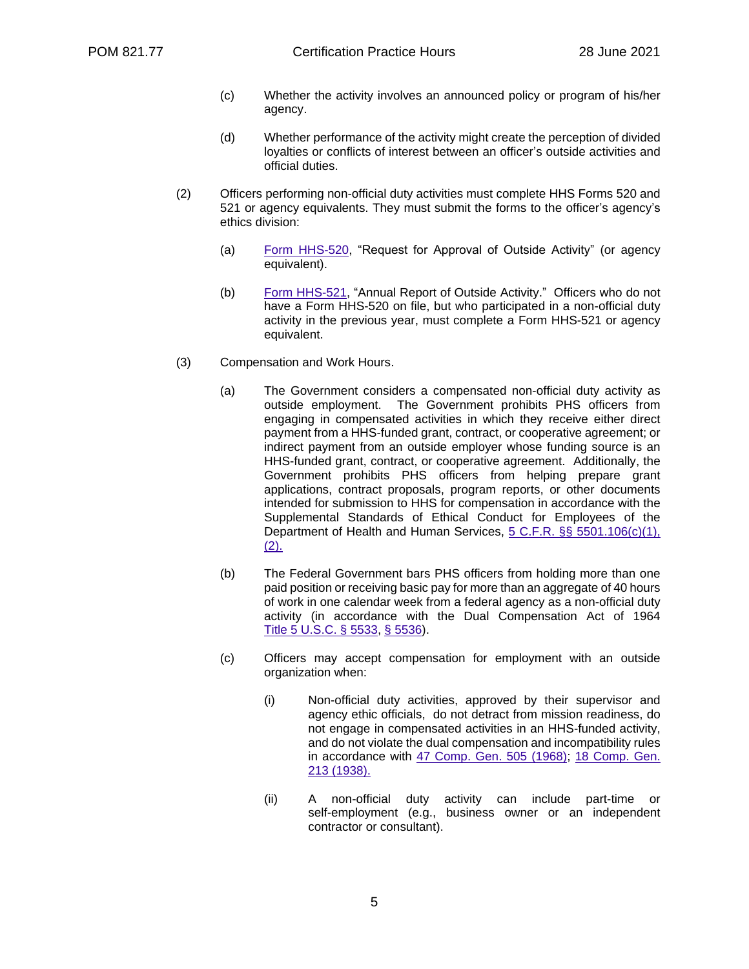- (c) Whether the activity involves an announced policy or program of his/her agency.
- (d) Whether performance of the activity might create the perception of divided loyalties or conflicts of interest between an officer's outside activities and official duties.
- (2) Officers performing non-official duty activities must complete HHS Forms 520 and 521 or agency equivalents. They must submit the forms to the officer's agency's ethics division:
	- (a) [Form HHS-520,](https://www.hhs.gov/sites/default/files/forms/hhs-520.pdf) "Request for Approval of Outside Activity" (or agency equivalent).
	- (b) [Form HHS-521,](https://www.hhs.gov/sites/default/files/forms/hhs-521.pdf) "Annual Report of Outside Activity." Officers who do not have a Form HHS-520 on file, but who participated in a non-official duty activity in the previous year, must complete a Form HHS-521 or agency equivalent.
- (3) Compensation and Work Hours.
	- (a) The Government considers a compensated non-official duty activity as outside employment. The Government prohibits PHS officers from engaging in compensated activities in which they receive either direct payment from a HHS-funded grant, contract, or cooperative agreement; or indirect payment from an outside employer whose funding source is an HHS-funded grant, contract, or cooperative agreement. Additionally, the Government prohibits PHS officers from helping prepare grant applications, contract proposals, program reports, or other documents intended for submission to HHS for compensation in accordance with the Supplemental Standards of Ethical Conduct for Employees of the Department of Health and Human Services, 5 C.F.R. §§ [5501.106\(c\)\(1\),](https://www.govinfo.gov/content/pkg/CFR-2019-title5-vol3/pdf/CFR-2019-title5-vol3-sec5501-106.pdf)  $(2)$ .
	- (b) The Federal Government bars PHS officers from holding more than one paid position or receiving basic pay for more than an aggregate of 40 hours of work in one calendar week from a federal agency as a non-official duty activity (in accordance with the Dual Compensation Act of 1964 Title 5 [U.S.C.](https://uscode.house.gov/view.xhtml?req=(title:5%20section:5533%20edition:prelim)%20OR%20(granuleid:USC-prelim-title5-section5533)&f=treesort&edition=prelim&num=0&jumpTo=true) § 5533, § [5536\)](https://uscode.house.gov/view.xhtml?req=(title:5%20section:5536%20edition:prelim)%20OR%20(granuleid:USC-prelim-title5-section5536)&f=treesort&edition=prelim&num=0&jumpTo=true).
	- (c) Officers may accept compensation for employment with an outside organization when:
		- (i) Non-official duty activities, approved by their supervisor and agency ethic officials, do not detract from mission readiness, do not engage in compensated activities in an HHS-funded activity, and do not violate the dual compensation and incompatibility rules in accordance with [47 Comp. Gen. 505 \(1968\);](https://www.gao.gov/products/429993) [18 Comp. Gen.](https://www.gao.gov/products/459243#mt=e-report)  [213 \(1938\).](https://www.gao.gov/products/459243#mt=e-report)
		- (ii) A non-official duty activity can include part-time or self-employment (e.g., business owner or an independent contractor or consultant).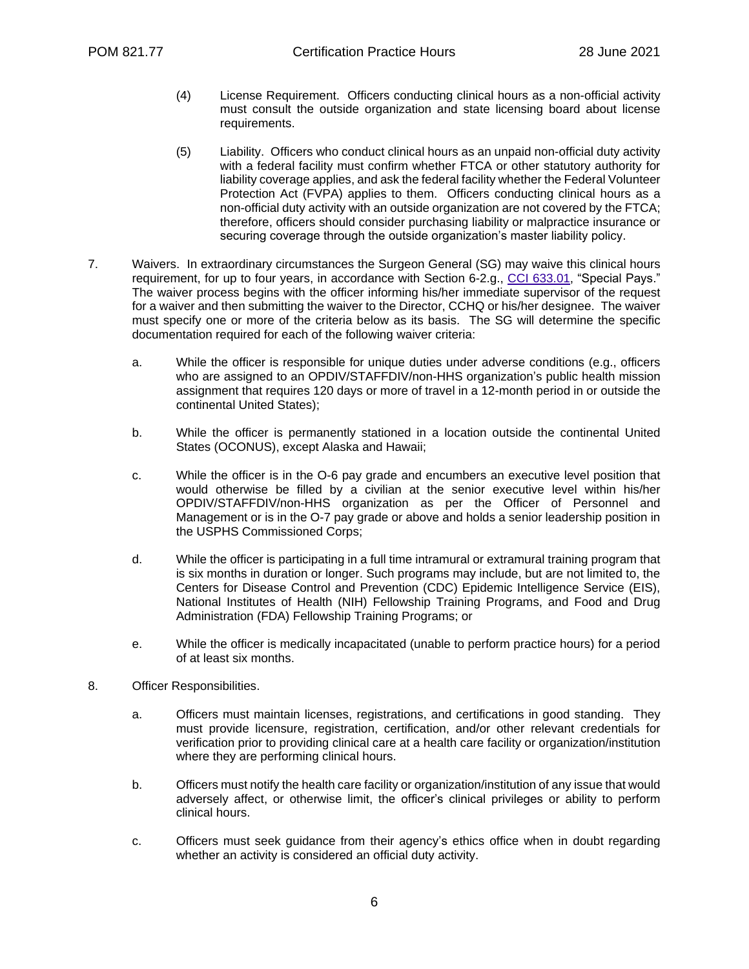- (4) License Requirement. Officers conducting clinical hours as a non-official activity must consult the outside organization and state licensing board about license requirements.
- (5) Liability. Officers who conduct clinical hours as an unpaid non-official duty activity with a federal facility must confirm whether FTCA or other statutory authority for liability coverage applies, and ask the federal facility whether the Federal Volunteer Protection Act (FVPA) applies to them. Officers conducting clinical hours as a non-official duty activity with an outside organization are not covered by the FTCA; therefore, officers should consider purchasing liability or malpractice insurance or securing coverage through the outside organization's master liability policy.
- 7. Waivers. In extraordinary circumstances the Surgeon General (SG) may waive this clinical hours requirement, for up to four years, in accordance with Section 6-2.g., CCI [633.01,](https://dcp.psc.gov/ccmis/ccis/documents/CCI_633.01.pdf) "Special Pays." The waiver process begins with the officer informing his/her immediate supervisor of the request for a waiver and then submitting the waiver to the Director, CCHQ or his/her designee. The waiver must specify one or more of the criteria below as its basis. The SG will determine the specific documentation required for each of the following waiver criteria:
	- a. While the officer is responsible for unique duties under adverse conditions (e.g., officers who are assigned to an OPDIV/STAFFDIV/non-HHS organization's public health mission assignment that requires 120 days or more of travel in a 12-month period in or outside the continental United States);
	- b. While the officer is permanently stationed in a location outside the continental United States (OCONUS), except Alaska and Hawaii;
	- c. While the officer is in the O-6 pay grade and encumbers an executive level position that would otherwise be filled by a civilian at the senior executive level within his/her OPDIV/STAFFDIV/non-HHS organization as per the Officer of Personnel and Management or is in the O-7 pay grade or above and holds a senior leadership position in the USPHS Commissioned Corps;
	- d. While the officer is participating in a full time intramural or extramural training program that is six months in duration or longer. Such programs may include, but are not limited to, the Centers for Disease Control and Prevention (CDC) Epidemic Intelligence Service (EIS), National Institutes of Health (NIH) Fellowship Training Programs, and Food and Drug Administration (FDA) Fellowship Training Programs; or
	- e. While the officer is medically incapacitated (unable to perform practice hours) for a period of at least six months.
- 8. Officer Responsibilities.
	- a. Officers must maintain licenses, registrations, and certifications in good standing. They must provide licensure, registration, certification, and/or other relevant credentials for verification prior to providing clinical care at a health care facility or organization/institution where they are performing clinical hours.
	- b. Officers must notify the health care facility or organization/institution of any issue that would adversely affect, or otherwise limit, the officer's clinical privileges or ability to perform clinical hours.
	- c. Officers must seek guidance from their agency's ethics office when in doubt regarding whether an activity is considered an official duty activity.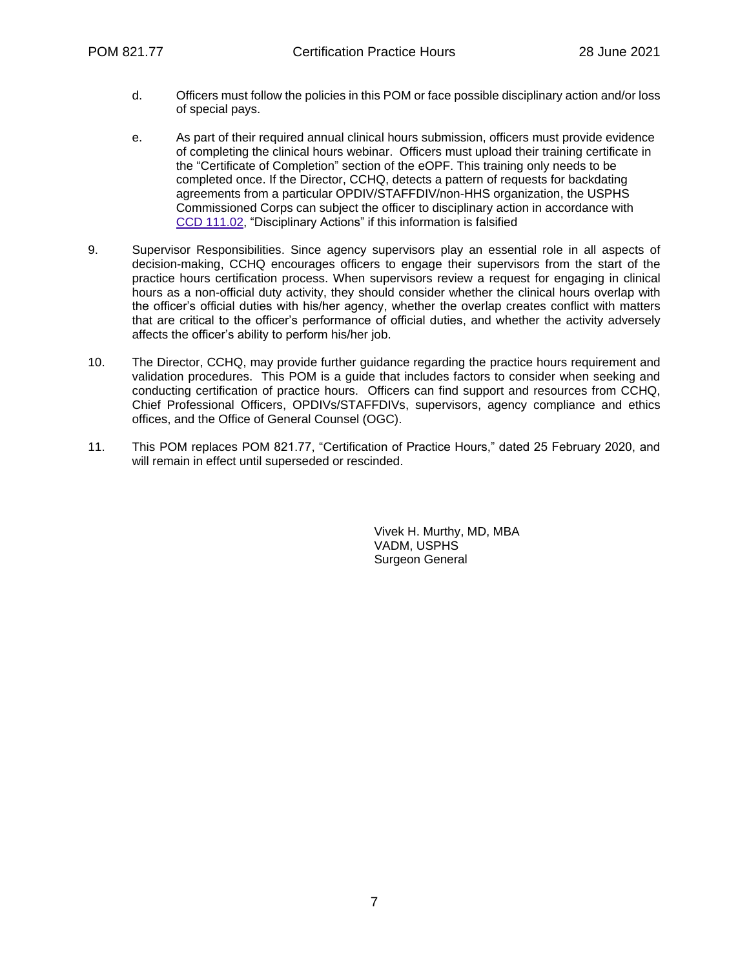- d. Officers must follow the policies in this POM or face possible disciplinary action and/or loss of special pays.
- e. As part of their required annual clinical hours submission, officers must provide evidence of completing the clinical hours webinar. Officers must upload their training certificate in the "Certificate of Completion" section of the eOPF. This training only needs to be completed once. If the Director, CCHQ, detects a pattern of requests for backdating agreements from a particular OPDIV/STAFFDIV/non-HHS organization, the USPHS Commissioned Corps can subject the officer to disciplinary action in accordance with CCD [111.02,](https://dcp.psc.gov/ccmis/ccis/documents/CCD111_02.pdf) "Disciplinary Actions" if this information is falsified
- 9. Supervisor Responsibilities. Since agency supervisors play an essential role in all aspects of decision-making, CCHQ encourages officers to engage their supervisors from the start of the practice hours certification process. When supervisors review a request for engaging in clinical hours as a non-official duty activity, they should consider whether the clinical hours overlap with the officer's official duties with his/her agency, whether the overlap creates conflict with matters that are critical to the officer's performance of official duties, and whether the activity adversely affects the officer's ability to perform his/her job.
- 10. The Director, CCHQ, may provide further guidance regarding the practice hours requirement and validation procedures. This POM is a guide that includes factors to consider when seeking and conducting certification of practice hours. Officers can find support and resources from CCHQ, Chief Professional Officers, OPDIVs/STAFFDIVs, supervisors, agency compliance and ethics offices, and the Office of General Counsel (OGC).
- 11. This POM replaces POM 821.77, "Certification of Practice Hours," dated 25 February 2020, and will remain in effect until superseded or rescinded.

Vivek H. Murthy, MD, MBA VADM, USPHS Surgeon General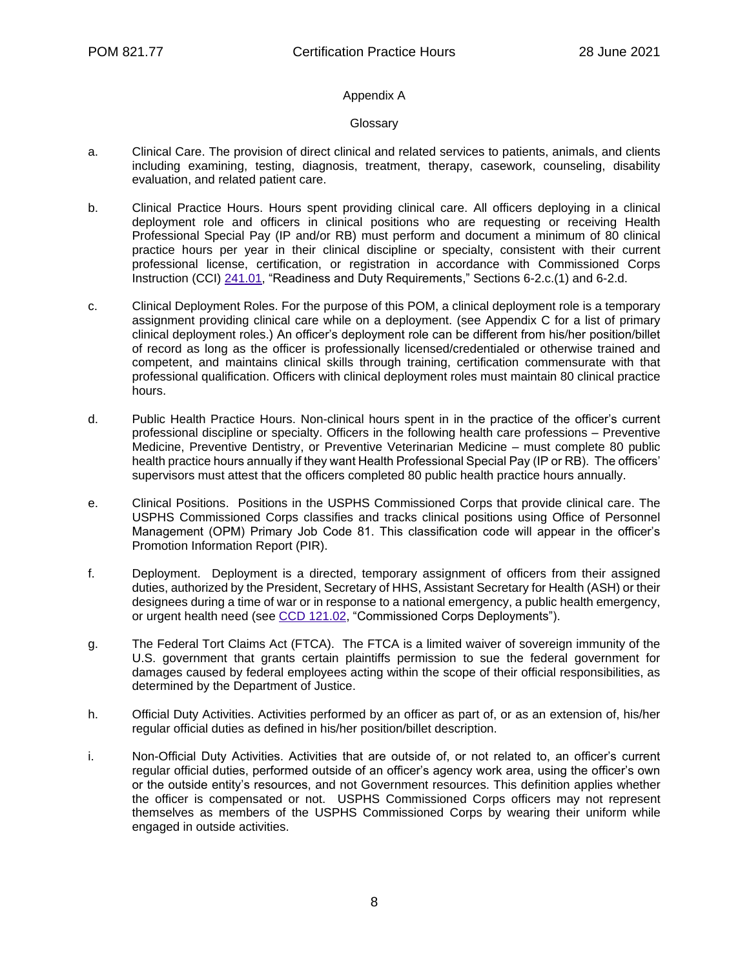## Appendix A

#### **Glossary**

- a. Clinical Care. The provision of direct clinical and related services to patients, animals, and clients including examining, testing, diagnosis, treatment, therapy, casework, counseling, disability evaluation, and related patient care.
- b. Clinical Practice Hours. Hours spent providing clinical care. All officers deploying in a clinical deployment role and officers in clinical positions who are requesting or receiving Health Professional Special Pay (IP and/or RB) must perform and document a minimum of 80 clinical practice hours per year in their clinical discipline or specialty, consistent with their current professional license, certification, or registration in accordance with Commissioned Corps Instruction (CCI) [241.01,](https://dcp.psc.gov/ccmis/ccis/documents/CCI_241.01.pdf) "Readiness and Duty Requirements," Sections 6-2.c.(1) and 6-2.d.
- c. Clinical Deployment Roles. For the purpose of this POM, a clinical deployment role is a temporary assignment providing clinical care while on a deployment. (see Appendix C for a list of primary clinical deployment roles.) An officer's deployment role can be different from his/her position/billet of record as long as the officer is professionally licensed/credentialed or otherwise trained and competent, and maintains clinical skills through training, certification commensurate with that professional qualification. Officers with clinical deployment roles must maintain 80 clinical practice hours.
- d. Public Health Practice Hours. Non-clinical hours spent in in the practice of the officer's current professional discipline or specialty. Officers in the following health care professions – Preventive Medicine, Preventive Dentistry, or Preventive Veterinarian Medicine – must complete 80 public health practice hours annually if they want Health Professional Special Pay (IP or RB). The officers' supervisors must attest that the officers completed 80 public health practice hours annually.
- e. Clinical Positions. Positions in the USPHS Commissioned Corps that provide clinical care. The USPHS Commissioned Corps classifies and tracks clinical positions using Office of Personnel Management (OPM) Primary Job Code 81. This classification code will appear in the officer's Promotion Information Report (PIR).
- f. Deployment. Deployment is a directed, temporary assignment of officers from their assigned duties, authorized by the President, Secretary of HHS, Assistant Secretary for Health (ASH) or their designees during a time of war or in response to a national emergency, a public health emergency, or urgent health need (see [CCD 121.02,](https://dcp.psc.gov/ccmis/ccis/documents/CCD_121.02.pdf) "Commissioned Corps Deployments").
- g. The Federal Tort Claims Act (FTCA). The FTCA is a limited waiver of sovereign immunity of the U.S. government that grants certain plaintiffs permission to sue the federal government for damages caused by federal employees acting within the scope of their official responsibilities, as determined by the Department of Justice.
- h. Official Duty Activities. Activities performed by an officer as part of, or as an extension of, his/her regular official duties as defined in his/her position/billet description.
- i. Non-Official Duty Activities. Activities that are outside of, or not related to, an officer's current regular official duties, performed outside of an officer's agency work area, using the officer's own or the outside entity's resources, and not Government resources. This definition applies whether the officer is compensated or not. USPHS Commissioned Corps officers may not represent themselves as members of the USPHS Commissioned Corps by wearing their uniform while engaged in outside activities.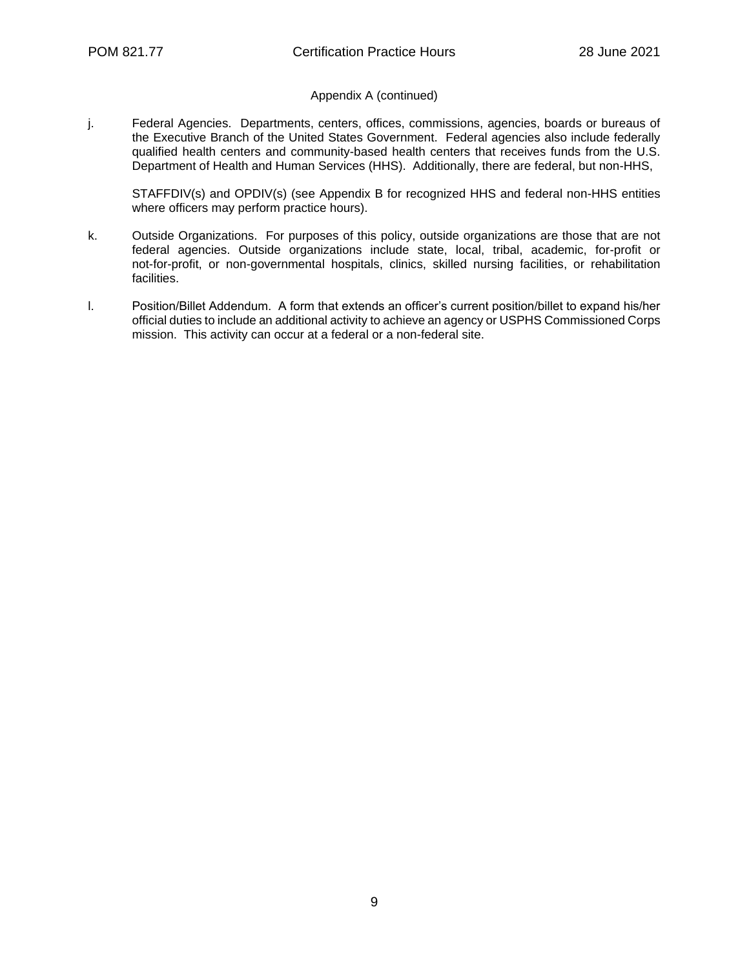## Appendix A (continued)

j. Federal Agencies. Departments, centers, offices, commissions, agencies, boards or bureaus of the Executive Branch of the United States Government. Federal agencies also include federally qualified health centers and community-based health centers that receives funds from the U.S. Department of Health and Human Services (HHS). Additionally, there are federal, but non-HHS,

STAFFDIV(s) and OPDIV(s) (see Appendix B for recognized HHS and federal non-HHS entities where officers may perform practice hours).

- k. Outside Organizations. For purposes of this policy, outside organizations are those that are not federal agencies. Outside organizations include state, local, tribal, academic, for-profit or not-for-profit, or non-governmental hospitals, clinics, skilled nursing facilities, or rehabilitation facilities.
- l. Position/Billet Addendum. A form that extends an officer's current position/billet to expand his/her official duties to include an additional activity to achieve an agency or USPHS Commissioned Corps mission. This activity can occur at a federal or a non-federal site.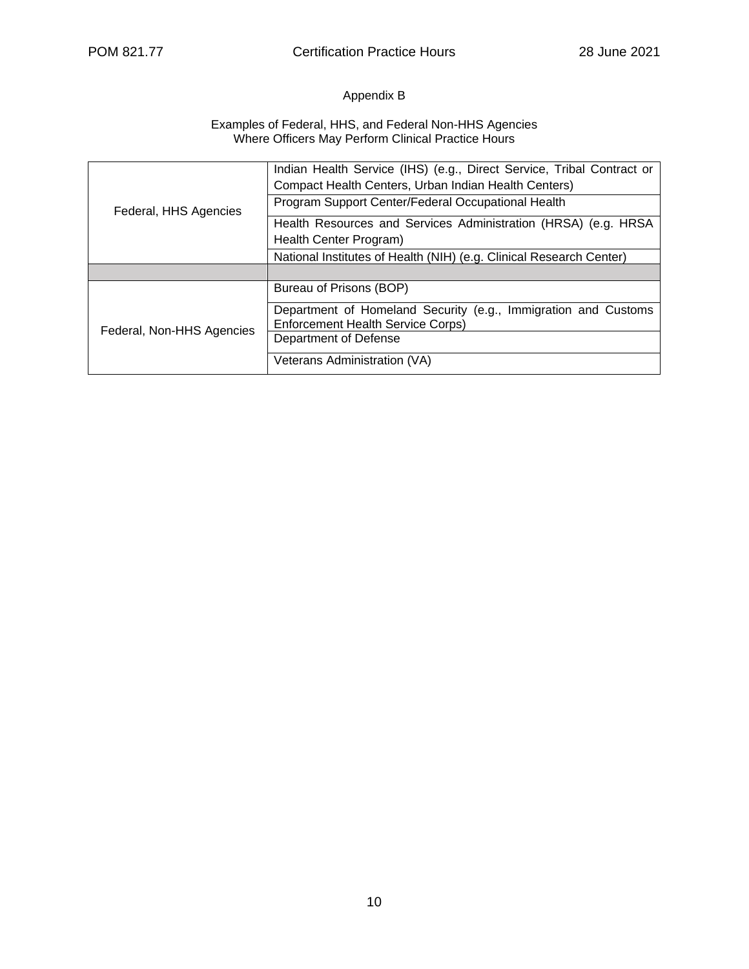## Appendix B

#### Examples of Federal, HHS, and Federal Non-HHS Agencies Where Officers May Perform Clinical Practice Hours

| Federal, HHS Agencies     | Indian Health Service (IHS) (e.g., Direct Service, Tribal Contract or<br>Compact Health Centers, Urban Indian Health Centers) |  |  |  |  |
|---------------------------|-------------------------------------------------------------------------------------------------------------------------------|--|--|--|--|
|                           | Program Support Center/Federal Occupational Health                                                                            |  |  |  |  |
|                           | Health Resources and Services Administration (HRSA) (e.g. HRSA<br>Health Center Program)                                      |  |  |  |  |
|                           | National Institutes of Health (NIH) (e.g. Clinical Research Center)                                                           |  |  |  |  |
|                           |                                                                                                                               |  |  |  |  |
| Federal, Non-HHS Agencies | Bureau of Prisons (BOP)                                                                                                       |  |  |  |  |
|                           | Department of Homeland Security (e.g., Immigration and Customs<br><b>Enforcement Health Service Corps)</b>                    |  |  |  |  |
|                           | Department of Defense                                                                                                         |  |  |  |  |
|                           | Veterans Administration (VA)                                                                                                  |  |  |  |  |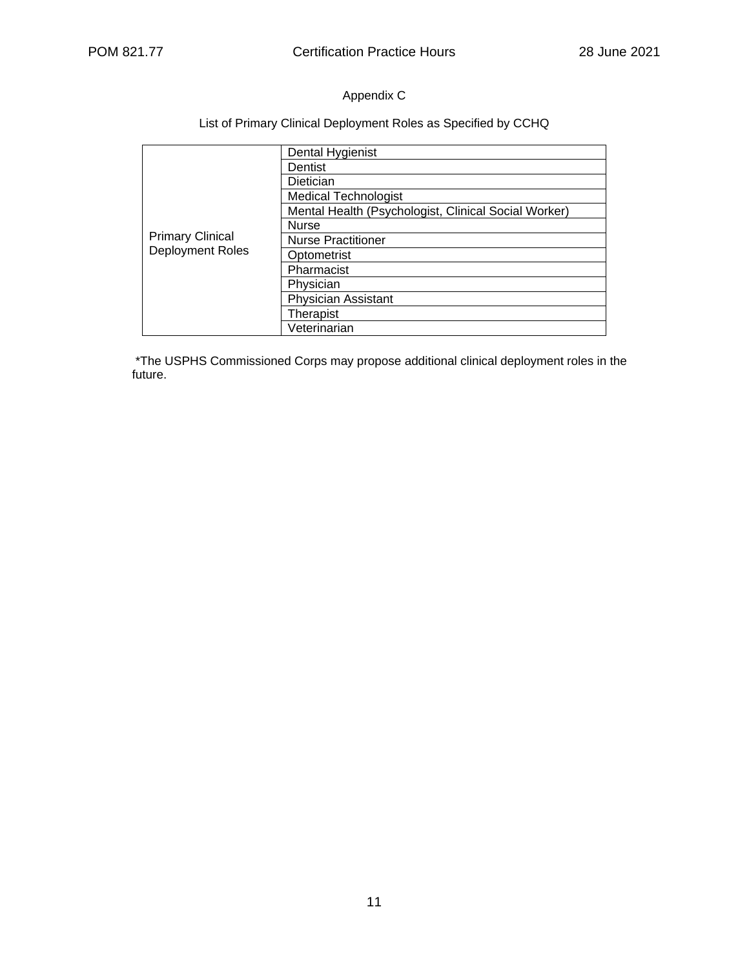## Appendix C

## List of Primary Clinical Deployment Roles as Specified by CCHQ

| <b>Primary Clinical</b><br>Deployment Roles | Dental Hygienist                                     |  |  |  |  |
|---------------------------------------------|------------------------------------------------------|--|--|--|--|
|                                             | Dentist                                              |  |  |  |  |
|                                             | Dietician                                            |  |  |  |  |
|                                             | <b>Medical Technologist</b>                          |  |  |  |  |
|                                             | Mental Health (Psychologist, Clinical Social Worker) |  |  |  |  |
|                                             | <b>Nurse</b>                                         |  |  |  |  |
|                                             | <b>Nurse Practitioner</b>                            |  |  |  |  |
|                                             | Optometrist                                          |  |  |  |  |
|                                             | Pharmacist                                           |  |  |  |  |
|                                             | Physician                                            |  |  |  |  |
|                                             | <b>Physician Assistant</b>                           |  |  |  |  |
|                                             | Therapist                                            |  |  |  |  |
|                                             | Veterinarian                                         |  |  |  |  |

\*The USPHS Commissioned Corps may propose additional clinical deployment roles in the future.